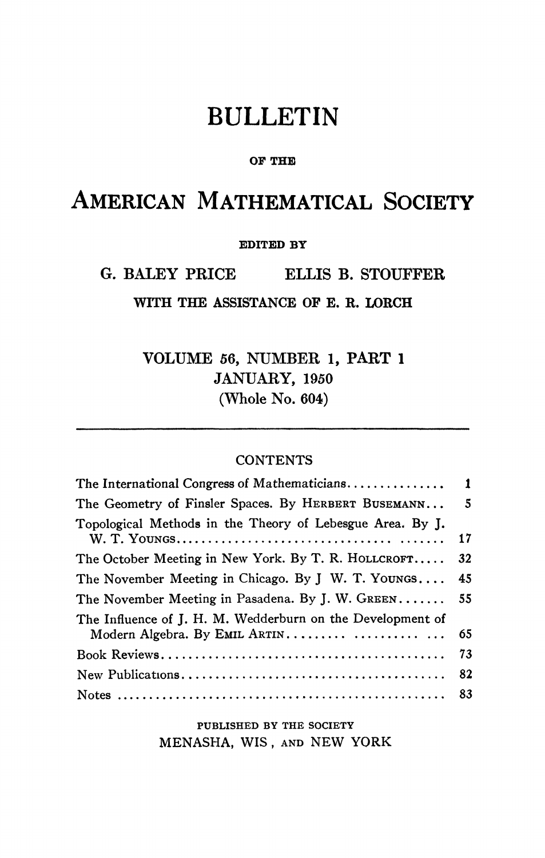# BULLETIN

### **OF THE**

## AMERICAN MATHEMATICAL SOCIETY

**EDITED BY** 

G. BALEY PRICE ELLIS B. STOUFFER

**WITH THE ASSISTANCE OP E. R. LORCH** 

**VOLUME 56, NUMBER 1, PART 1 JANUARY, 1950 (Whole** No. **604)** 

### **CONTENTS**

| 1  |
|----|
| 5  |
| 17 |
| 32 |
| 45 |
| 55 |
| 65 |
| 73 |
| 82 |
| 83 |
|    |

PUBLISHED BY THE SOCIETY MENASHA, WIS, AND NEW YORK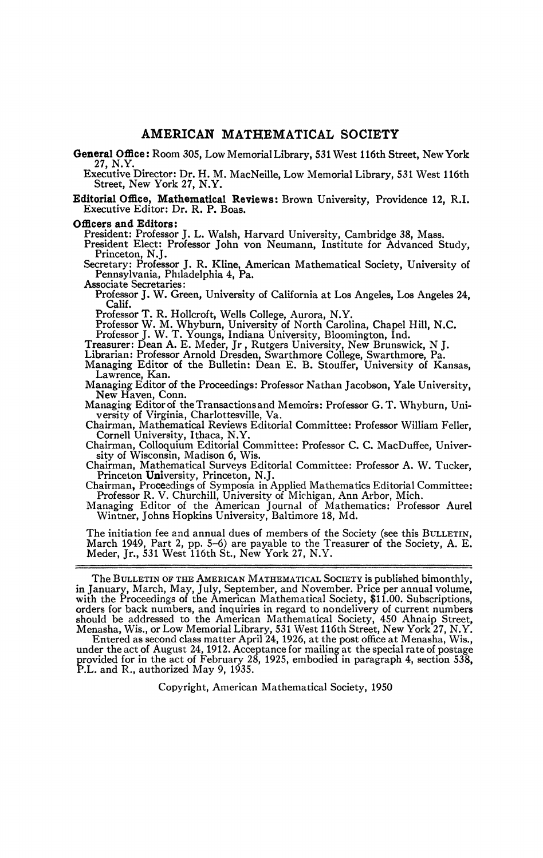**General Office:** Room 305, Low Memorial Lîbrary, 531 West 116th Street, New York 27, N.Y.

Executive Director: Dr. H. M. MacNeille, Low Memorial Library, 531 West 116th Street, New York 27, N.Y.

**Editorial Office, Mathematical Reviews:** Brown University, Providence 12, R.I. Executive Editor: Dr. R. P. Boas.

#### **Officers and Editors:**

President: Professor J. L. Walsh, Harvard University, Cambridge *38,* Mass.

President Elect: Professor John von Neumann, Institute for Advanced Study, Princeton, N.J.

Secretary: Professor J. R. Kline, American Mathematical Society, University of Pennsylvania, Philadelphia 4, Pa.

Associate Secretaries:

Professor J. W. Green, University of California at Los Angeles, Los Angeles 24, Calif.

Professor T. R. Hollcroft, Wells College, Aurora, N.Y.

Professor W. M. Whyburn, University of North Carolina, Chapel Hill, N.C.<br>
Professor J. W. T. Youngs, Indiana University, Bloomington, Ind.<br>
Treasurer: Dean A. E. Meder, Jr, Rutgers University, New Brunswick, N J.<br>
I ibrari

Librarian: Professor Arnold Dresden, Swarthmore College, Swarthmore, Pa. Managing Editor of the Bulletin: Dean E. B. Stouffer, University of Kansas,

Lawrence, Kan.<br>Managing Editor of the Proceedings: Professor Nathan Jacobson, Yale University,

Managing Editor of the Proceedings: Professor Nathan Jacobson, Yale University,<br>Mew Haven, Conn.<br>Managing Editor of the Transactions and Memoirs: Professor G. T. Whyburn, Uni-<br>usesity of Virginia Charlotteeville, Va

versity of Virginia, Charlottesville, Va.<br>Chairman, Mathematical Reviews Editorial Committee: Professor William Feller,<br>Cornell University, Ithaca, N.Y.

Chairman, Colloquium Editorial Committee: Professor C. C. MacDuffee, University of Wisconsin, Madison 6, Wis.<br>Chairman, Mathematical Surveys Editorial Committee: Professor A. W. Tucker,

Chairman, Mathematical Surveys Editorial Committee: Professor A. W. Tucker,<br>Princeton University, Princeton, N.J.<br>Chairman, Proceedings of Symposia in Applied Mathematics Editorial Committee:

Professor R. V. Churchill, University of Michigan, Ann Arbor, Mich.

Managing Editor of the American Journal of Mathematics: Professor Aurel Wintner, Johns Hopkins University, Baltimore 18, Md,

The initiation fee and annual dues of members of the Society (see this BULLETIN, March 1949, Part 2, pp. 5-6) are payable to the Treasurer of the Society, A. E. Meder, Jr., 531 West 116th St., New York 27, N.Y.

The BULLETIN OF THE AMERICAN MATHEMATICAL SOCIETY is published bimonthly, in January, March, May, July, September, and November. Price per annual volume, with the Proceedings of the American Mathematical Society, \$11.00. Subscriptions, orders for back numbers, and inquiries in regard to nondelivery of current numbers<br>should be addressed to the American Mathematical Society, 450 Ahnaip Street,<br>Menasha, Wis., or Low Memorial Library, 531 West 116th Street,

Entered as second class matter April 24, 1926, at the post office *at* Menasha, Wis., under the act of August 24,1912. Acceptance for mailing at the special rate of postage provided for in the act of February 28, 1925, embodied in paragraph 4, section 538, P.L. and R., authorized May 9, 1935.

Copyright, American Mathematical Society, 1950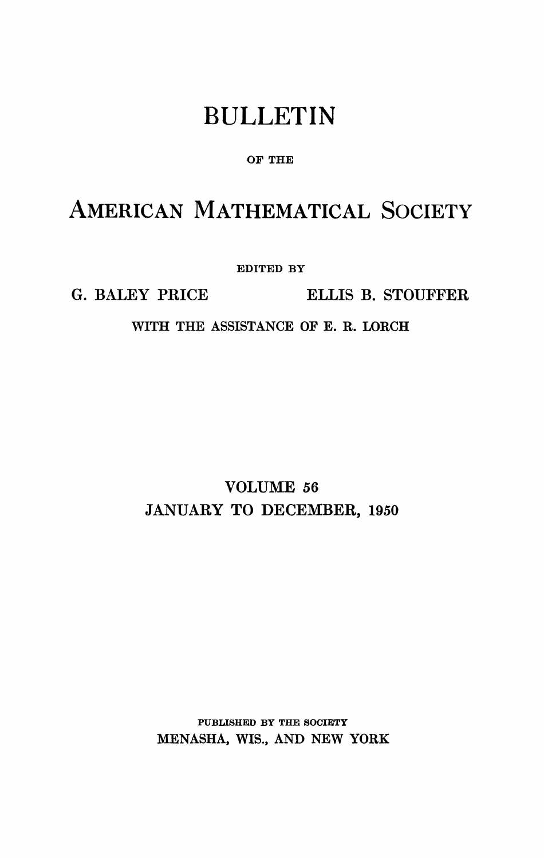## BULLETIN

### **OF THE**

### AMERICAN MATHEMATICAL SOCIETY

**EDITED BY** 

**G. BALEY PRICE ELLIS B. STOUFFER** 

**WITH THE ASSISTANCE OF E. R. LORCH** 

**VOLUME 56 JANUARY TO DECEMBER, 1950** 

**PUBLISHED BY THE SOCIETY MENASHA, WIS., AND NEW YORK**